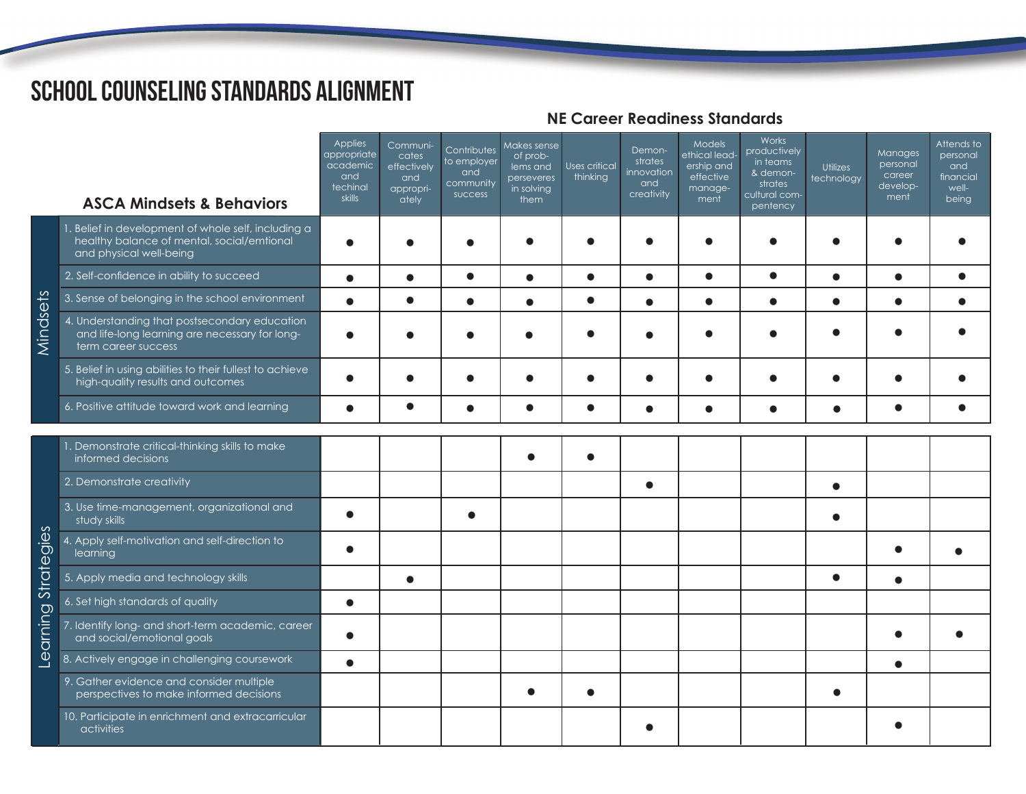## School Counseling Standards Alignment

|                        | <b>ASCA Mindsets &amp; Behaviors</b>                                                                                         | <b>Applies</b><br>appropriate<br>academic<br>and<br>techinal<br>skills | Communi-<br>cates<br>effectively<br>and<br>appropri-<br>ately | Contributes<br>to employer<br>and<br>community<br>success | Makes sense<br>of prob-<br>lems and<br>perseveres<br>in solving<br>them | <b>Uses critical</b><br>thinking | Demon-<br>strates<br>innovation<br>and<br>creativity | Models<br>ethical lead-<br>ership and<br>effective<br>manage-<br>ment | Works<br>productively<br>in teams<br>& demon-<br>strates<br>cultural com-<br>pentency | <b>Utilizes</b><br>technology | Manages<br>personal<br>career<br>develop-<br>ment | Attends to<br>personal<br>and<br>financial<br>well-<br>being |
|------------------------|------------------------------------------------------------------------------------------------------------------------------|------------------------------------------------------------------------|---------------------------------------------------------------|-----------------------------------------------------------|-------------------------------------------------------------------------|----------------------------------|------------------------------------------------------|-----------------------------------------------------------------------|---------------------------------------------------------------------------------------|-------------------------------|---------------------------------------------------|--------------------------------------------------------------|
| Mindsets               | 1. Belief in development of whole self, including a<br>healthy balance of mental, social/emtional<br>and physical well-being | $\bullet$                                                              |                                                               |                                                           |                                                                         |                                  |                                                      |                                                                       |                                                                                       |                               |                                                   |                                                              |
|                        | 2. Self-confidence in ability to succeed                                                                                     | $\bullet$                                                              | $\bullet$                                                     | $\bullet$                                                 | $\bullet$                                                               | $\bullet$                        | $\bullet$                                            | $\bullet$                                                             | $\bullet$                                                                             | $\bullet$                     | $\bullet$                                         | $\bullet$                                                    |
|                        | 3. Sense of belonging in the school environment                                                                              | $\bullet$                                                              | $\bullet$                                                     | $\bullet$                                                 | $\bullet$                                                               | $\bullet$                        | $\bullet$                                            | $\bullet$                                                             | $\bullet$                                                                             | $\bullet$                     | $\bullet$                                         | $\bullet$                                                    |
|                        | 4. Understanding that postsecondary education<br>and life-long learning are necessary for long-<br>term career success       | $\bullet$                                                              |                                                               |                                                           | $\bullet$                                                               |                                  |                                                      |                                                                       | €                                                                                     |                               |                                                   |                                                              |
|                        | 5. Belief in using abilities to their fullest to achieve<br>high-quality results and outcomes                                |                                                                        |                                                               |                                                           |                                                                         |                                  |                                                      |                                                                       |                                                                                       |                               |                                                   |                                                              |
|                        | 6. Positive attitude toward work and learning                                                                                | $\bullet$                                                              | $\bullet$                                                     | $\bullet$                                                 | $\bullet$                                                               | $\bullet$                        | $\bullet$                                            | $\bullet$                                                             | $\bullet$                                                                             | $\bullet$                     | $\bullet$                                         |                                                              |
| Strategies<br>Learning | 1. Demonstrate critical-thinking skills to make<br>informed decisions                                                        |                                                                        |                                                               |                                                           |                                                                         |                                  |                                                      |                                                                       |                                                                                       |                               |                                                   |                                                              |
|                        | 2. Demonstrate creativity                                                                                                    |                                                                        |                                                               |                                                           |                                                                         |                                  | $\bullet$                                            |                                                                       |                                                                                       | $\bullet$                     |                                                   |                                                              |
|                        | 3. Use time-management, organizational and<br>study skills                                                                   | $\bullet$                                                              |                                                               | $\bullet$                                                 |                                                                         |                                  |                                                      |                                                                       |                                                                                       | $\bullet$                     |                                                   |                                                              |
|                        | 4. Apply self-motivation and self-direction to<br>learning                                                                   | $\bullet$                                                              |                                                               |                                                           |                                                                         |                                  |                                                      |                                                                       |                                                                                       |                               | $\bullet$                                         |                                                              |
|                        | 5. Apply media and technology skills                                                                                         |                                                                        | $\bullet$                                                     |                                                           |                                                                         |                                  |                                                      |                                                                       |                                                                                       | $\bullet$                     | $\bullet$                                         |                                                              |
|                        | 6. Set high standards of quality                                                                                             | $\bullet$                                                              |                                                               |                                                           |                                                                         |                                  |                                                      |                                                                       |                                                                                       |                               |                                                   |                                                              |
|                        | 7. Identify long- and short-term academic, career<br>and social/emotional goals                                              | $\bullet$                                                              |                                                               |                                                           |                                                                         |                                  |                                                      |                                                                       |                                                                                       |                               |                                                   |                                                              |
|                        | 8. Actively engage in challenging coursework                                                                                 | $\bullet$                                                              |                                                               |                                                           |                                                                         |                                  |                                                      |                                                                       |                                                                                       |                               | $\bullet$                                         |                                                              |
|                        | 9. Gather evidence and consider multiple<br>perspectives to make informed decisions                                          |                                                                        |                                                               |                                                           |                                                                         |                                  |                                                      |                                                                       |                                                                                       |                               |                                                   |                                                              |
|                        | 10. Participate in enrichment and extracarricular<br>activities                                                              |                                                                        |                                                               |                                                           |                                                                         |                                  |                                                      |                                                                       |                                                                                       |                               |                                                   |                                                              |

## **NE Career Readiness Standards**